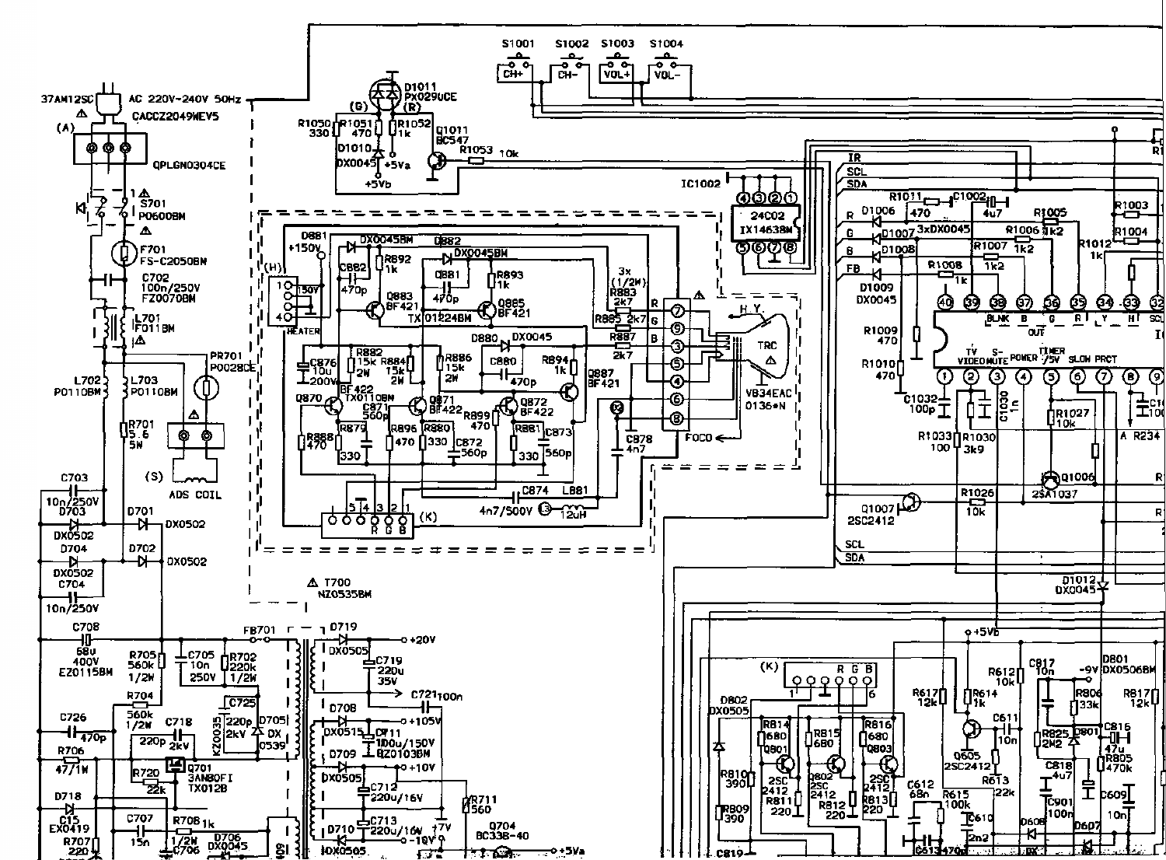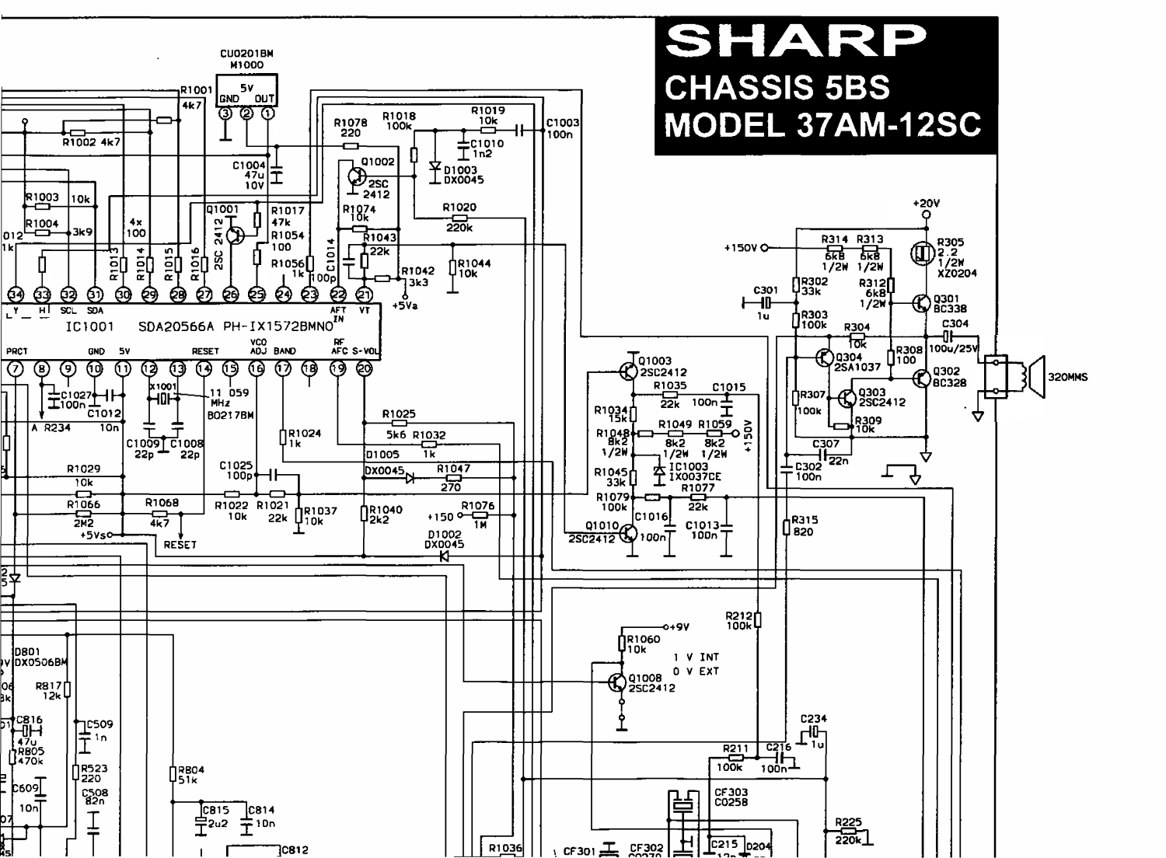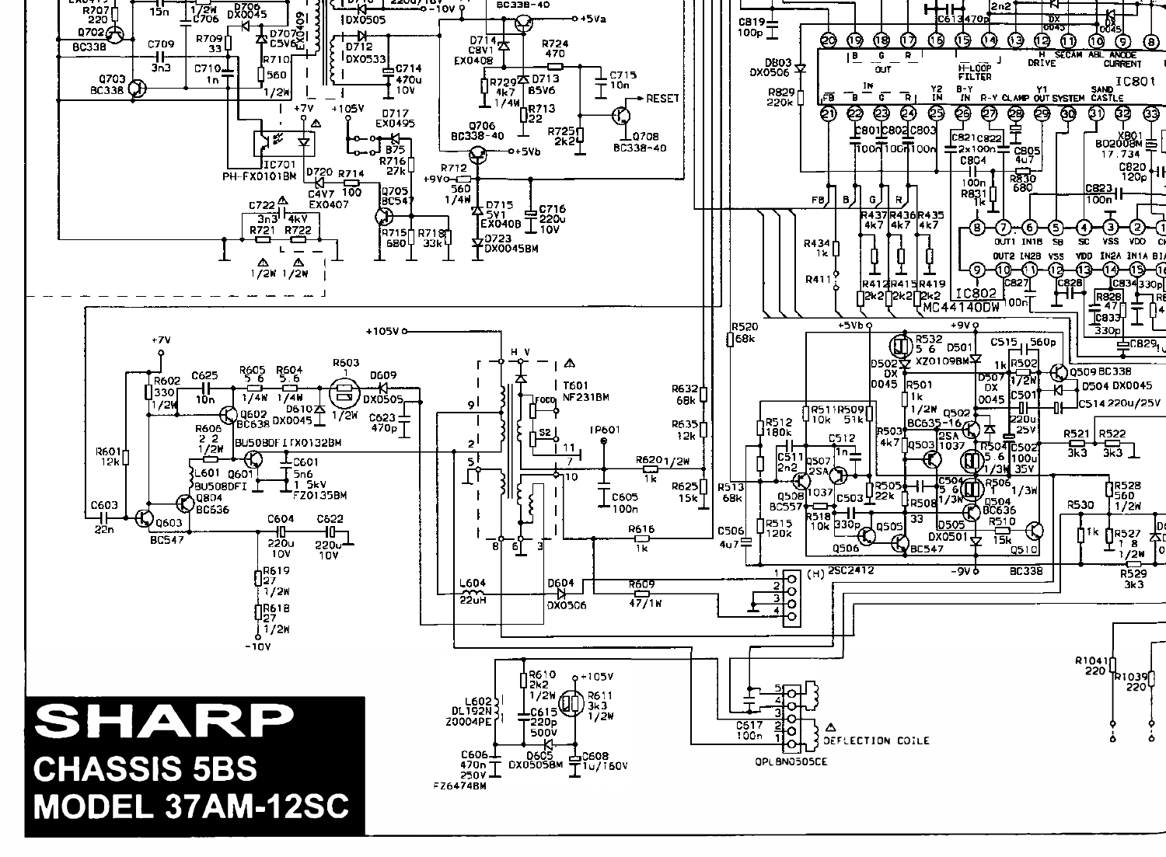